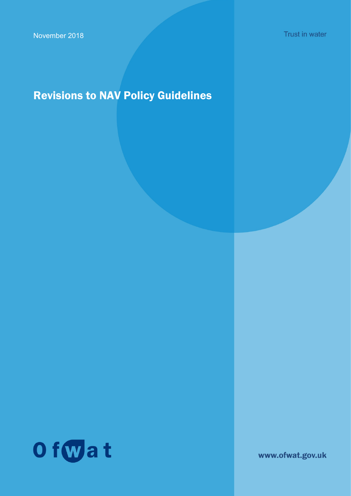Trust in water

# Revisions to NAV Policy Guidelines



www.ofwat.gov.uk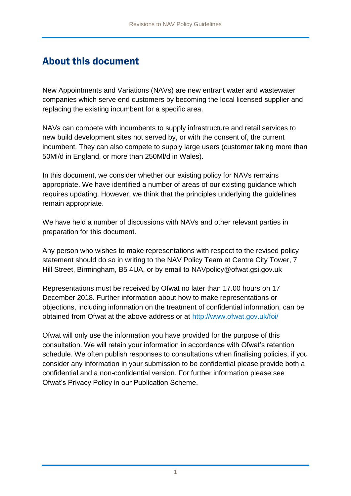## About this document

New Appointments and Variations (NAVs) are new entrant water and wastewater companies which serve end customers by becoming the local licensed supplier and replacing the existing incumbent for a specific area.

NAVs can compete with incumbents to supply infrastructure and retail services to new build development sites not served by, or with the consent of, the current incumbent. They can also compete to supply large users (customer taking more than 50Ml/d in England, or more than 250Ml/d in Wales).

In this document, we consider whether our existing policy for NAVs remains appropriate. We have identified a number of areas of our existing guidance which requires updating. However, we think that the principles underlying the guidelines remain appropriate.

We have held a number of discussions with NAVs and other relevant parties in preparation for this document.

Any person who wishes to make representations with respect to the revised policy statement should do so in writing to the NAV Policy Team at Centre City Tower, 7 Hill Street, Birmingham, B5 4UA, or by email to NAVpolicy@ofwat.gsi.gov.uk

Representations must be received by Ofwat no later than 17.00 hours on 17 December 2018. Further information about how to make representations or objections, including information on the treatment of confidential information, can be obtained from Ofwat at the above address or at<http://www.ofwat.gov.uk/foi/>

Ofwat will only use the information you have provided for the purpose of this consultation. We will retain your information in accordance with Ofwat's retention schedule. We often publish responses to consultations when finalising policies, if you consider any information in your submission to be confidential please provide both a confidential and a non-confidential version. For further information please see Ofwat's Privacy Policy in our Publication Scheme.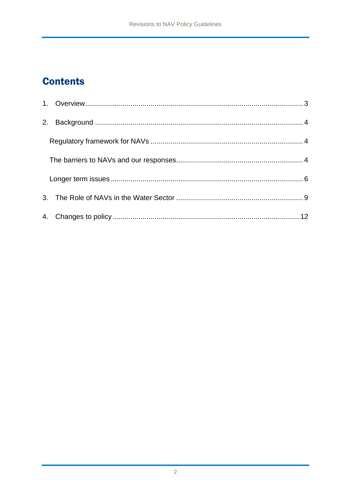## **Contents**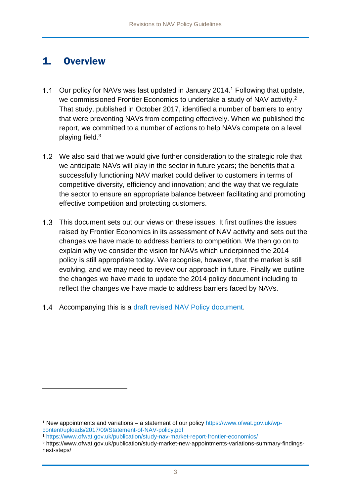### <span id="page-3-0"></span>1. Overview

- 1.1 Our policy for NAVs was last updated in January 2014.<sup>1</sup> Following that update, we commissioned Frontier Economics to undertake a study of NAV activity.<sup>2</sup> That study, published in October 2017, identified a number of barriers to entry that were preventing NAVs from competing effectively. When we published the report, we committed to a number of actions to help NAVs compete on a level playing field.<sup>3</sup>
- 1.2 We also said that we would give further consideration to the strategic role that we anticipate NAVs will play in the sector in future years; the benefits that a successfully functioning NAV market could deliver to customers in terms of competitive diversity, efficiency and innovation; and the way that we regulate the sector to ensure an appropriate balance between facilitating and promoting effective competition and protecting customers.
- 1.3 This document sets out our views on these issues. It first outlines the issues raised by Frontier Economics in its assessment of NAV activity and sets out the changes we have made to address barriers to competition. We then go on to explain why we consider the vision for NAVs which underpinned the 2014 policy is still appropriate today. We recognise, however, that the market is still evolving, and we may need to review our approach in future. Finally we outline the changes we have made to update the 2014 policy document including to reflect the changes we have made to address barriers faced by NAVs.
- 1.4 Accompanying this is a [draft revised NAV Policy document.](https://www.ofwat.gov.uk/publication/new-appointment-and-variation-applications-a-statement-of-our-policy/)

<sup>1</sup> New appointments and variations – a statement of our policy https://www.ofwat.gov.uk/wpcontent/uploads/2017/09/Statement-of-NAV-policy.pdf

<sup>1</sup> <https://www.ofwat.gov.uk/publication/study-nav-market-report-frontier-economics/>

<sup>3</sup> https://www.ofwat.gov.uk/publication/study-market-new-appointments-variations-summary-findingsnext-steps/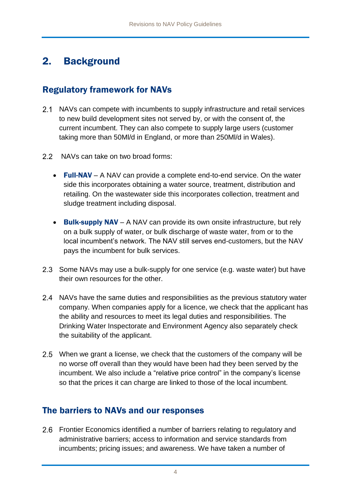## <span id="page-4-0"></span>2. Background

### <span id="page-4-1"></span>Regulatory framework for NAVs

- 2.1 NAVs can compete with incumbents to supply infrastructure and retail services to new build development sites not served by, or with the consent of, the current incumbent. They can also compete to supply large users (customer taking more than 50Ml/d in England, or more than 250Ml/d in Wales).
- 2.2 NAVs can take on two broad forms:
	- Full-NAV A NAV can provide a complete end-to-end service. On the water side this incorporates obtaining a water source, treatment, distribution and retailing. On the wastewater side this incorporates collection, treatment and sludge treatment including disposal.
	- **Bulk-supply NAV** A NAV can provide its own onsite infrastructure, but rely on a bulk supply of water, or bulk discharge of waste water, from or to the local incumbent's network. The NAV still serves end-customers, but the NAV pays the incumbent for bulk services.
- 2.3 Some NAVs may use a bulk-supply for one service (e.g. waste water) but have their own resources for the other.
- 2.4 NAVs have the same duties and responsibilities as the previous statutory water company. When companies apply for a licence, we check that the applicant has the ability and resources to meet its legal duties and responsibilities. The Drinking Water Inspectorate and Environment Agency also separately check the suitability of the applicant.
- 2.5 When we grant a license, we check that the customers of the company will be no worse off overall than they would have been had they been served by the incumbent. We also include a "relative price control" in the company's license so that the prices it can charge are linked to those of the local incumbent.

### <span id="page-4-2"></span>The barriers to NAVs and our responses

Frontier Economics identified a number of barriers relating to regulatory and administrative barriers; access to information and service standards from incumbents; pricing issues; and awareness. We have taken a number of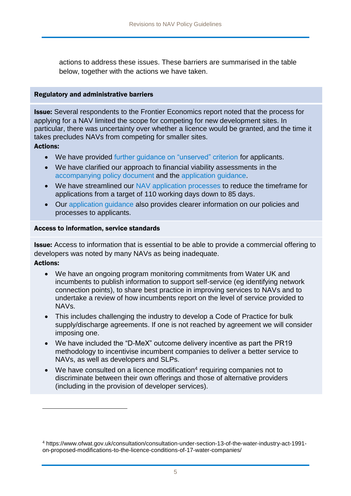actions to address these issues. These barriers are summarised in the table below, together with the actions we have taken.

#### Regulatory and administrative barriers

**Issue:** Several respondents to the Frontier Economics report noted that the process for applying for a NAV limited the scope for competing for new development sites. In particular, there was uncertainty over whether a licence would be granted, and the time it takes precludes NAVs from competing for smaller sites.

Actions:

1

- We have provided [further guidance on "unserved" criterion](https://www.ofwat.gov.uk/publication/18-01-applications-new-appointments-variations-navs-unserved-criterion/) for applicants.
- We have clarified our approach to financial viability assessments in the [accompanying policy document](1.1%09https:/www.ofwat.gov.uk/publication/new-appointment-and-variation-applications-a-statement-of-our-policy/) and the [application guidance.](https://www.ofwat.gov.uk/publication/application-guidance-new-appointments-variations/)
- We have streamlined our [NAV application](https://www.ofwat.gov.uk/publication/application-guidance-new-appointments-variations/) processes to reduce the timeframe for applications from a target of 110 working days down to 85 days.
- Our [application guidance](https://www.ofwat.gov.uk/publication/application-guidance-new-appointments-variations/) also provides clearer information on our policies and processes to applicants.

#### Access to information, service standards

Issue: Access to information that is essential to be able to provide a commercial offering to developers was noted by many NAVs as being inadequate. Actions:

- We have an ongoing program monitoring commitments from Water UK and incumbents to publish information to support self-service (eg identifying network connection points), to share best practice in improving services to NAVs and to undertake a review of how incumbents report on the level of service provided to NAVs.
- This includes challenging the industry to develop a Code of Practice for bulk supply/discharge agreements. If one is not reached by agreement we will consider imposing one.
- We have included the "D-MeX" outcome delivery incentive as part the PR19 methodology to incentivise incumbent companies to deliver a better service to NAVs, as well as developers and SLPs.
- We have consulted [on a licence modification](https://www.ofwat.gov.uk/consultation/consultation-under-section-13-of-the-water-industry-act-1991-on-proposed-modifications-to-the-licence-conditions-of-17-water-companies/)<sup>4</sup> requiring companies not to discriminate between their own offerings and those of alternative providers (including in the provision of developer services).

<sup>4</sup> https://www.ofwat.gov.uk/consultation/consultation-under-section-13-of-the-water-industry-act-1991 on-proposed-modifications-to-the-licence-conditions-of-17-water-companies/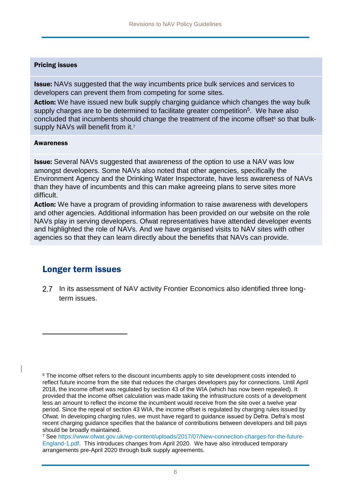#### Pricing issues

**Issue:** NAVs suggested that the way incumbents price bulk services and services to developers can prevent them from competing for some sites.

Action: We have issued new bulk supply charging guidance which changes the way bulk supply charges are to be determined to facilitate greater competition<sup>5</sup>. We have also concluded that incumbents should change the treatment of the income offset<sup>6</sup> so that bulksupply NAVs will benefit from it.<sup>7</sup>

#### **Awareness**

1

**Issue:** Several NAVs suggested that awareness of the option to use a NAV was low amongst developers. Some NAVs also noted that other agencies, specifically the Environment Agency and the Drinking Water Inspectorate, have less awareness of NAVs than they have of incumbents and this can make agreeing plans to serve sites more difficult.

Action: We have a program of providing information to raise awareness with developers and other agencies. Additional information has been provided on our website on the role NAVs play in serving developers. Ofwat representatives have attended developer events and highlighted the role of NAVs. And we have organised visits to NAV sites with other agencies so that they can learn directly about the benefits that NAVs can provide.

### <span id="page-6-0"></span>Longer term issues

2.7 In its assessment of NAV activity Frontier Economics also identified three longterm issues.

<sup>7</sup> See [https://www.ofwat.gov.uk/wp-content/uploads/2017/07/New-connection-charges-for-the-future-](https://www.ofwat.gov.uk/wp-content/uploads/2017/07/New-connection-charges-for-the-future-England-1.pdf)[England-1.pdf.](https://www.ofwat.gov.uk/wp-content/uploads/2017/07/New-connection-charges-for-the-future-England-1.pdf) This introduces changes from April 2020. We have also introduced temporary arrangements pre-April 2020 through bulk supply agreements.

<sup>&</sup>lt;sup>6</sup> The income offset refers to the discount incumbents apply to site development costs intended to reflect future income from the site that reduces the charges developers pay for connections. Until April 2018, the income offset was regulated by section 43 of the WIA (which has now been repealed). It provided that the income offset calculation was made taking the infrastructure costs of a development less an amount to reflect the income the incumbent would receive from the site over a twelve year period. Since the repeal of section 43 WIA, the income offset is regulated by charging rules issued by Ofwat. In developing charging rules, we must have regard to guidance issued by Defra. Defra's most recent charging guidance specifies that the balance of contributions between developers and bill pays should be broadly maintained.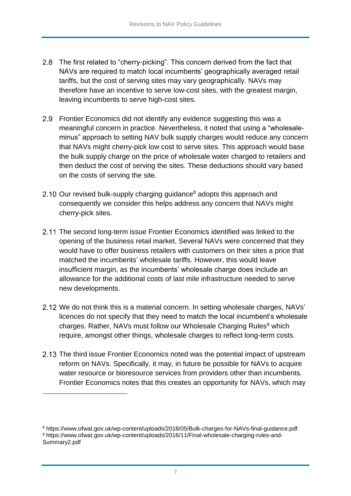- 2.8 The first related to "cherry-picking". This concern derived from the fact that NAVs are required to match local incumbents' geographically averaged retail tariffs, but the cost of serving sites may vary geographically. NAVs may therefore have an incentive to serve low-cost sites, with the greatest margin, leaving incumbents to serve high-cost sites.
- 2.9 Frontier Economics did not identify any evidence suggesting this was a meaningful concern in practice. Nevertheless, it noted that using a "wholesaleminus" approach to setting NAV bulk supply charges would reduce any concern that NAVs might cherry-pick low cost to serve sites. This approach would base the bulk supply charge on the price of wholesale water charged to retailers and then deduct the cost of serving the sites. These deductions should vary based on the costs of serving the site.
- 2.10 Our revised bulk-supply charging guidance<sup>8</sup> adopts this approach and consequently we consider this helps address any concern that NAVs might cherry-pick sites.
- 2.11 The second long-term issue Frontier Economics identified was linked to the opening of the business retail market. Several NAVs were concerned that they would have to offer business retailers with customers on their sites a price that matched the incumbents' wholesale tariffs. However, this would leave insufficient margin, as the incumbents' wholesale charge does include an allowance for the additional costs of last mile infrastructure needed to serve new developments.
- 2.12 We do not think this is a material concern. In setting wholesale charges, NAVs' licences do not specify that they need to match the local incumbent's wholesale charges. Rather, NAVs must follow our Wholesale Charging Rules<sup>9</sup> which require, amongst other things, wholesale charges to reflect long-term costs.
- 2.13 The third issue Frontier Economics noted was the potential impact of upstream reform on NAVs. Specifically, it may, in future be possible for NAVs to acquire water resource or bioresource services from providers other than incumbents. Frontier Economics notes that this creates an opportunity for NAVs, which may

<sup>8</sup> https://www.ofwat.gov.uk/wp-content/uploads/2018/05/Bulk-charges-for-NAVs-final-guidance.pdf 9 https://www.ofwat.gov.uk/wp-content/uploads/2016/11/Final-wholesale-charging-rules-and-Summary2.pdf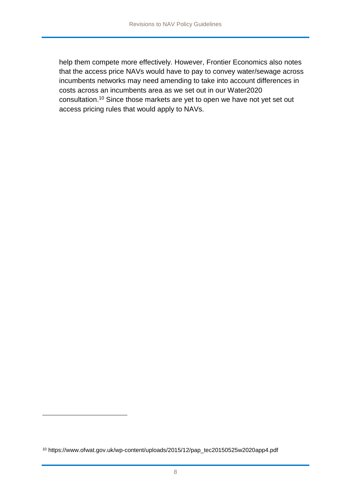help them compete more effectively. However, Frontier Economics also notes that the access price NAVs would have to pay to convey water/sewage across incumbents networks may need amending to take into account differences in costs across an incumbents area as we set out in our Water2020 consultation.<sup>10</sup> Since those markets are yet to open we have not yet set out access pricing rules that would apply to NAVs.

1

<sup>10</sup> https://www.ofwat.gov.uk/wp-content/uploads/2015/12/pap\_tec20150525w2020app4.pdf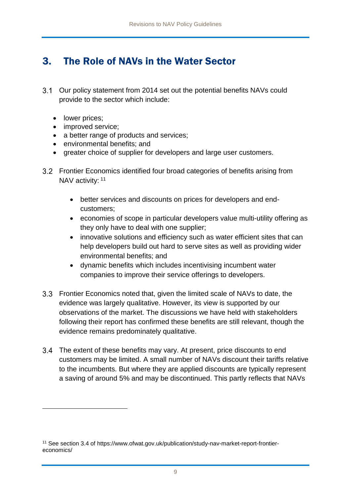## <span id="page-9-0"></span>3. The Role of NAVs in the Water Sector

- Our policy statement from 2014 set out the potential benefits NAVs could provide to the sector which include:
	- lower prices;

1

- improved service;
- a better range of products and services;
- environmental benefits; and
- greater choice of supplier for developers and large user customers.
- 3.2 Frontier Economics identified four broad categories of benefits arising from NAV activity: 11
	- better services and discounts on prices for developers and endcustomers;
	- economies of scope in particular developers value multi-utility offering as they only have to deal with one supplier;
	- innovative solutions and efficiency such as water efficient sites that can help developers build out hard to serve sites as well as providing wider environmental benefits; and
	- dynamic benefits which includes incentivising incumbent water companies to improve their service offerings to developers.
- Frontier Economics noted that, given the limited scale of NAVs to date, the evidence was largely qualitative. However, its view is supported by our observations of the market. The discussions we have held with stakeholders following their report has confirmed these benefits are still relevant, though the evidence remains predominately qualitative.
- 3.4 The extent of these benefits may vary. At present, price discounts to end customers may be limited. A small number of NAVs discount their tariffs relative to the incumbents. But where they are applied discounts are typically represent a saving of around 5% and may be discontinued. This partly reflects that NAVs

<sup>11</sup> See section 3.4 of https://www.ofwat.gov.uk/publication/study-nav-market-report-frontiereconomics/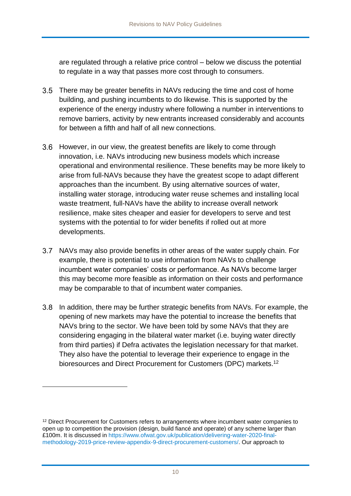are regulated through a relative price control – below we discuss the potential to regulate in a way that passes more cost through to consumers.

- There may be greater benefits in NAVs reducing the time and cost of home building, and pushing incumbents to do likewise. This is supported by the experience of the energy industry where following a number in interventions to remove barriers, activity by new entrants increased considerably and accounts for between a fifth and half of all new connections.
- However, in our view, the greatest benefits are likely to come through innovation, i.e. NAVs introducing new business models which increase operational and environmental resilience. These benefits may be more likely to arise from full-NAVs because they have the greatest scope to adapt different approaches than the incumbent. By using alternative sources of water, installing water storage, introducing water reuse schemes and installing local waste treatment, full-NAVs have the ability to increase overall network resilience, make sites cheaper and easier for developers to serve and test systems with the potential to for wider benefits if rolled out at more developments.
- 3.7 NAVs may also provide benefits in other areas of the water supply chain. For example, there is potential to use information from NAVs to challenge incumbent water companies' costs or performance. As NAVs become larger this may become more feasible as information on their costs and performance may be comparable to that of incumbent water companies.
- 3.8 In addition, there may be further strategic benefits from NAVs. For example, the opening of new markets may have the potential to increase the benefits that NAVs bring to the sector. We have been told by some NAVs that they are considering engaging in the bilateral water market (i.e. buying water directly from third parties) if Defra activates the legislation necessary for that market. They also have the potential to leverage their experience to engage in the bioresources and Direct Procurement for Customers (DPC) markets.<sup>12</sup>

<sup>&</sup>lt;sup>12</sup> Direct Procurement for Customers refers to arrangements where incumbent water companies to open up to competition the provision (design, build fiancé and operate) of any scheme larger than £100m. It is discussed in [https://www.ofwat.gov.uk/publication/delivering-water-2020-final](https://www.ofwat.gov.uk/publication/delivering-water-2020-final-methodology-2019-price-review-appendix-9-direct-procurement-customers/)[methodology-2019-price-review-appendix-9-direct-procurement-customers/.](https://www.ofwat.gov.uk/publication/delivering-water-2020-final-methodology-2019-price-review-appendix-9-direct-procurement-customers/) Our approach to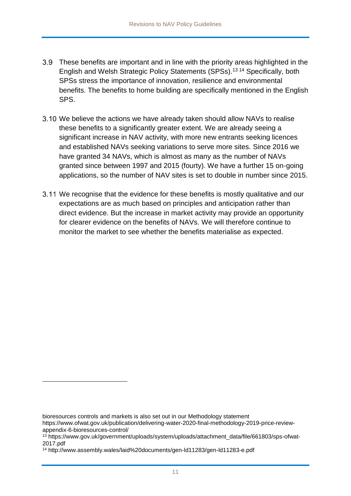- These benefits are important and in line with the priority areas highlighted in the English and Welsh Strategic Policy Statements (SPSs).<sup>13</sup> <sup>14</sup> Specifically, both SPSs stress the importance of innovation, resilience and environmental benefits. The benefits to home building are specifically mentioned in the English SPS.
- We believe the actions we have already taken should allow NAVs to realise these benefits to a significantly greater extent. We are already seeing a significant increase in NAV activity, with more new entrants seeking licences and established NAVs seeking variations to serve more sites. Since 2016 we have granted 34 NAVs, which is almost as many as the number of NAVs granted since between 1997 and 2015 (fourty). We have a further 15 on-going applications, so the number of NAV sites is set to double in number since 2015.
- 3.11 We recognise that the evidence for these benefits is mostly qualitative and our expectations are as much based on principles and anticipation rather than direct evidence. But the increase in market activity may provide an opportunity for clearer evidence on the benefits of NAVs. We will therefore continue to monitor the market to see whether the benefits materialise as expected.

1

bioresources controls and markets is also set out in our Methodology statement

https://www.ofwat.gov.uk/publication/delivering-water-2020-final-methodology-2019-price-reviewappendix-6-bioresources-control/

<sup>&</sup>lt;sup>13</sup> https://www.gov.uk/government/uploads/system/uploads/attachment\_data/file/661803/sps-ofwat-2017.pdf

<sup>14</sup> http://www.assembly.wales/laid%20documents/gen-ld11283/gen-ld11283-e.pdf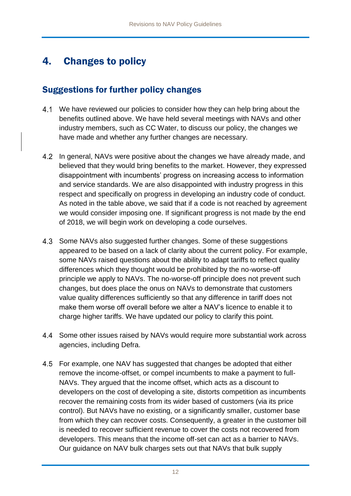## <span id="page-12-0"></span>4. Changes to policy

### Suggestions for further policy changes

- 4.1 We have reviewed our policies to consider how they can help bring about the benefits outlined above. We have held several meetings with NAVs and other industry members, such as CC Water, to discuss our policy, the changes we have made and whether any further changes are necessary.
- 4.2 In general, NAVs were positive about the changes we have already made, and believed that they would bring benefits to the market. However, they expressed disappointment with incumbents' progress on increasing access to information and service standards. We are also disappointed with industry progress in this respect and specifically on progress in developing an industry code of conduct. As noted in the table above, we said that if a code is not reached by agreement we would consider imposing one. If significant progress is not made by the end of 2018, we will begin work on developing a code ourselves.
- 4.3 Some NAVs also suggested further changes. Some of these suggestions appeared to be based on a lack of clarity about the current policy. For example, some NAVs raised questions about the ability to adapt tariffs to reflect quality differences which they thought would be prohibited by the no-worse-off principle we apply to NAVs. The no-worse-off principle does not prevent such changes, but does place the onus on NAVs to demonstrate that customers value quality differences sufficiently so that any difference in tariff does not make them worse off overall before we alter a NAV's licence to enable it to charge higher tariffs. We have updated our policy to clarify this point.
- 4.4 Some other issues raised by NAVs would require more substantial work across agencies, including Defra.
- 4.5 For example, one NAV has suggested that changes be adopted that either remove the income-offset, or compel incumbents to make a payment to full-NAVs. They argued that the income offset, which acts as a discount to developers on the cost of developing a site, distorts competition as incumbents recover the remaining costs from its wider based of customers (via its price control). But NAVs have no existing, or a significantly smaller, customer base from which they can recover costs. Consequently, a greater in the customer bill is needed to recover sufficient revenue to cover the costs not recovered from developers. This means that the income off-set can act as a barrier to NAVs. Our guidance on NAV bulk charges sets out that NAVs that bulk supply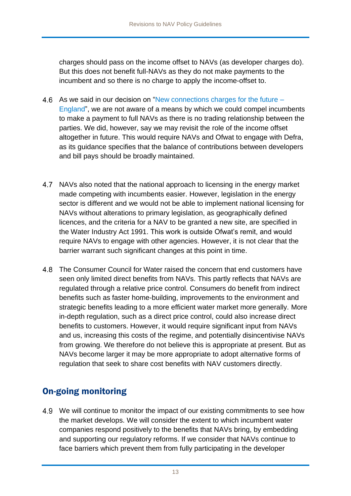charges should pass on the income offset to NAVs (as developer charges do). But this does not benefit full-NAVs as they do not make payments to the incumbent and so there is no charge to apply the income-offset to.

- 4.6 As we said in our decision on ["New connections charges for the future –](https://www.ofwat.gov.uk/wp-content/uploads/2017/11/New-connections-charges-rules-from-April-2020-–-England-Decision-Document.pdf) [England"](https://www.ofwat.gov.uk/wp-content/uploads/2017/11/New-connections-charges-rules-from-April-2020-–-England-Decision-Document.pdf), we are not aware of a means by which we could compel incumbents to make a payment to full NAVs as there is no trading relationship between the parties. We did, however, say we may revisit the role of the income offset altogether in future. This would require NAVs and Ofwat to engage with Defra, as its guidance specifies that the balance of contributions between developers and bill pays should be broadly maintained.
- NAVs also noted that the national approach to licensing in the energy market made competing with incumbents easier. However, legislation in the energy sector is different and we would not be able to implement national licensing for NAVs without alterations to primary legislation, as geographically defined licences, and the criteria for a NAV to be granted a new site, are specified in the Water Industry Act 1991. This work is outside Ofwat's remit, and would require NAVs to engage with other agencies. However, it is not clear that the barrier warrant such significant changes at this point in time.
- The Consumer Council for Water raised the concern that end customers have seen only limited direct benefits from NAVs. This partly reflects that NAVs are regulated through a relative price control. Consumers do benefit from indirect benefits such as faster home-building, improvements to the environment and strategic benefits leading to a more efficient water market more generally. More in-depth regulation, such as a direct price control, could also increase direct benefits to customers. However, it would require significant input from NAVs and us, increasing this costs of the regime, and potentially disincentivise NAVs from growing. We therefore do not believe this is appropriate at present. But as NAVs become larger it may be more appropriate to adopt alternative forms of regulation that seek to share cost benefits with NAV customers directly.

### On-going monitoring

4.9 We will continue to monitor the impact of our existing commitments to see how the market develops. We will consider the extent to which incumbent water companies respond positively to the benefits that NAVs bring, by embedding and supporting our regulatory reforms. If we consider that NAVs continue to face barriers which prevent them from fully participating in the developer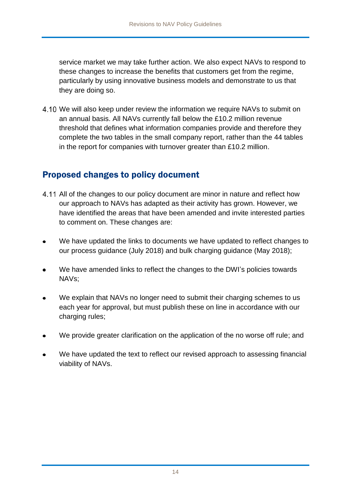service market we may take further action. We also expect NAVs to respond to these changes to increase the benefits that customers get from the regime, particularly by using innovative business models and demonstrate to us that they are doing so.

We will also keep under review the information we require NAVs to submit on an annual basis. All NAVs currently fall below the £10.2 million revenue threshold that defines what information companies provide and therefore they complete the two tables in the small company report, rather than the 44 tables in the report for companies with turnover greater than £10.2 million.

### Proposed changes to policy document

- 4.11 All of the changes to our policy document are minor in nature and reflect how our approach to NAVs has adapted as their activity has grown. However, we have identified the areas that have been amended and invite interested parties to comment on. These changes are:
- We have updated the links to documents we have updated to reflect changes to our process guidance (July 2018) and bulk charging guidance (May 2018);
- We have amended links to reflect the changes to the DWI's policies towards NAVs;
- We explain that NAVs no longer need to submit their charging schemes to us each year for approval, but must publish these on line in accordance with our charging rules;
- We provide greater clarification on the application of the no worse off rule; and
- We have updated the text to reflect our revised approach to assessing financial viability of NAVs.